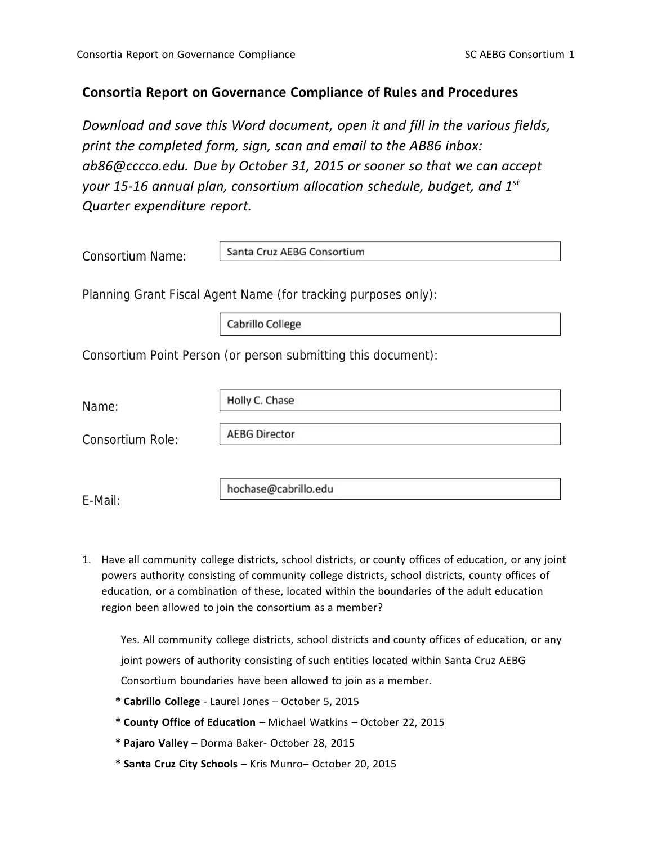## **Consortia Report on Governance Compliance of Rules and Procedures**

*Download and save this Word document, open it and fill in the various fields, print the completed form, sign, scan and email to the AB86 inbox: ab86@cccco.edu. Due by October 31, 2015 or sooner so that we can accept your 15‐16 annual plan, consortium allocation schedule, budget, and 1st Quarter expenditure report.*

| <b>Consortium Name:</b> | Santa Cruz AEBG Consortium                                     |
|-------------------------|----------------------------------------------------------------|
|                         | Planning Grant Fiscal Agent Name (for tracking purposes only): |
|                         | Cabrillo College                                               |
|                         | Consortium Point Person (or person submitting this document):  |
|                         | Holly C. Chase                                                 |
| Name:                   |                                                                |
| Consortium Role:        | <b>AEBG Director</b>                                           |
|                         |                                                                |
| E-Mail:                 | hochase@cabrillo.edu                                           |

1. Have all community college districts, school districts, or county offices of education, or any joint powers authority consisting of community college districts, school districts, county offices of education, or a combination of these, located within the boundaries of the adult education region been allowed to join the consortium as a member?

Yes. All community college districts, school districts and county offices of education, or any joint powers of authority consisting of such entities located within Santa Cruz AEBG Consortium boundaries have been allowed to join as a member.

- **\* Cabrillo College** ‐ Laurel Jones October 5, 2015
- **\* County Office of Education** Michael Watkins October 22, 2015
- **\* Pajaro Valley** Dorma Baker‐ October 28, 2015
- **\* Santa Cruz City Schools** Kris Munro– October 20, 2015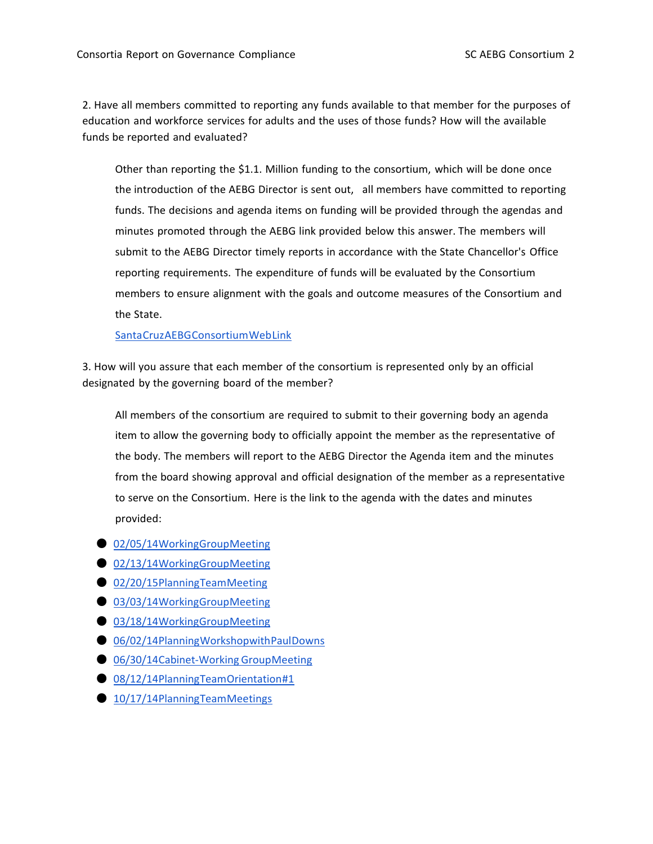2. Have all members committed to reporting any funds available to that member for the purposes of education and workforce services for adults and the uses of those funds? How will the available funds be reported and evaluated?

Other than reporting the \$1.1. Million funding to the consortium, which will be done once the introduction of the AEBG Director is sent out, all members have committed to reporting funds. The decisions and agenda items on funding will be provided through the agendas and minutes promoted through the AEBG link provided below this answer. The members will submit to the AEBG Director timely reports in accordance with the State Chancellor's Office reporting requirements. The expenditure of funds will be evaluated by the Consortium members to ensure alignment with the goals and outcome measures of the Consortium and the State.

## SantaCruzAEBGConsortiumWebLink

3. How will you assure that each member of the consortium is represented only by an official designated by the governing board of the member?

All members of the consortium are required to submit to their governing body an agenda item to allow the governing body to officially appoint the member as the representative of the body. The members will report to the AEBG Director the Agenda item and the minutes from the board showing approval and official designation of the member as a representative to serve on the Consortium. Here is the link to the agenda with the dates and minutes provided:

- 02/05/14WorkingGroupMeeting
- 02/13/14WorkingGroupMeeting
- 02/20/15PlanningTeamMeeting
- 03/03/14WorkingGroupMeeting
- 03/18/14WorkingGroupMeeting
- 06/02/14PlanningWorkshopwithPaulDowns
- 06/30/14Cabinet-Working GroupMeeting
- 08/12/14PlanningTeamOrientation#1
- **10/17/14PlanningTeamMeetings**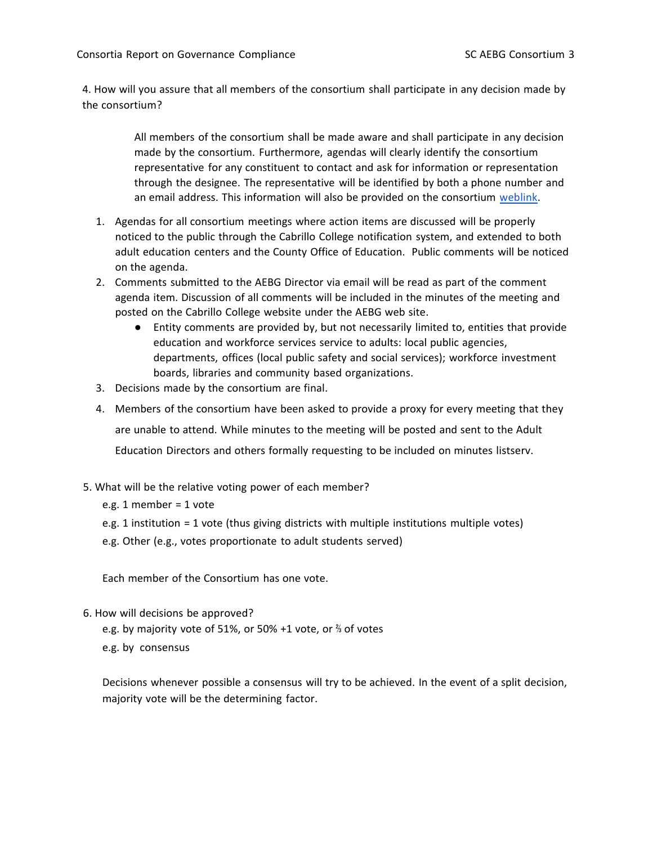4. How will you assure that all members of the consortium shall participate in any decision made by the consortium?

> All members of the consortium shall be made aware and shall participate in any decision made by the consortium. Furthermore, agendas will clearly identify the consortium representative for any constituent to contact and ask for information or representation through the designee. The representative will be identified by both a phone number and an email address. This information will also be provided on the consortium weblink.

- 1. Agendas for all consortium meetings where action items are discussed will be properly noticed to the public through the Cabrillo College notification system, and extended to both adult education centers and the County Office of Education. Public comments will be noticed on the agenda.
- 2. Comments submitted to the AEBG Director via email will be read as part of the comment agenda item. Discussion of all comments will be included in the minutes of the meeting and posted on the Cabrillo College website under the AEBG web site.
	- Entity comments are provided by, but not necessarily limited to, entities that provide education and workforce services service to adults: local public agencies, departments, offices (local public safety and social services); workforce investment boards, libraries and community based organizations.
- 3. Decisions made by the consortium are final.
- 4. Members of the consortium have been asked to provide a proxy for every meeting that they are unable to attend. While minutes to the meeting will be posted and sent to the Adult Education Directors and others formally requesting to be included on minutes listserv.
- 5. What will be the relative voting power of each member?
	- e.g. 1 member = 1 vote
	- e.g. 1 institution = 1 vote (thus giving districts with multiple institutions multiple votes)
	- e.g. Other (e.g., votes proportionate to adult students served)

Each member of the Consortium has one vote.

- 6. How will decisions be approved?
	- e.g. by majority vote of 51%, or 50% +1 vote, or ⅔ of votes
	- e.g. by consensus

Decisions whenever possible a consensus will try to be achieved. In the event of a split decision, majority vote will be the determining factor.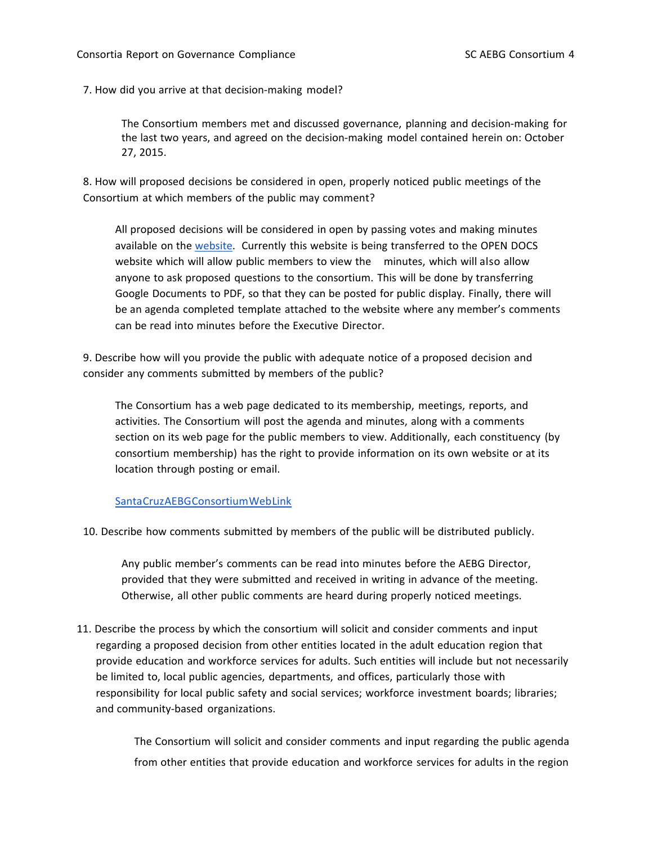7. How did you arrive at that decision‐making model?

The Consortium members met and discussed governance, planning and decision‐making for the last two years, and agreed on the decision‐making model contained herein on: October 27, 2015.

8. How will proposed decisions be considered in open, properly noticed public meetings of the Consortium at which members of the public may comment?

All proposed decisions will be considered in open by passing votes and making minutes available on the website. Currently this website is being transferred to the OPEN DOCS website which will allow public members to view the minutes, which will also allow anyone to ask proposed questions to the consortium. This will be done by transferring Google Documents to PDF, so that they can be posted for public display. Finally, there will be an agenda completed template attached to the website where any member's comments can be read into minutes before the Executive Director.

9. Describe how will you provide the public with adequate notice of a proposed decision and consider any comments submitted by members of the public?

The Consortium has a web page dedicated to its membership, meetings, reports, and activities. The Consortium will post the agenda and minutes, along with a comments section on its web page for the public members to view. Additionally, each constituency (by consortium membership) has the right to provide information on its own website or at its location through posting or email.

## SantaCruzAEBGConsortiumWebLink

10. Describe how comments submitted by members of the public will be distributed publicly.

Any public member's comments can be read into minutes before the AEBG Director, provided that they were submitted and received in writing in advance of the meeting. Otherwise, all other public comments are heard during properly noticed meetings.

11. Describe the process by which the consortium will solicit and consider comments and input regarding a proposed decision from other entities located in the adult education region that provide education and workforce services for adults. Such entities will include but not necessarily be limited to, local public agencies, departments, and offices, particularly those with responsibility for local public safety and social services; workforce investment boards; libraries; and community‐based organizations.

> The Consortium will solicit and consider comments and input regarding the public agenda from other entities that provide education and workforce services for adults in the region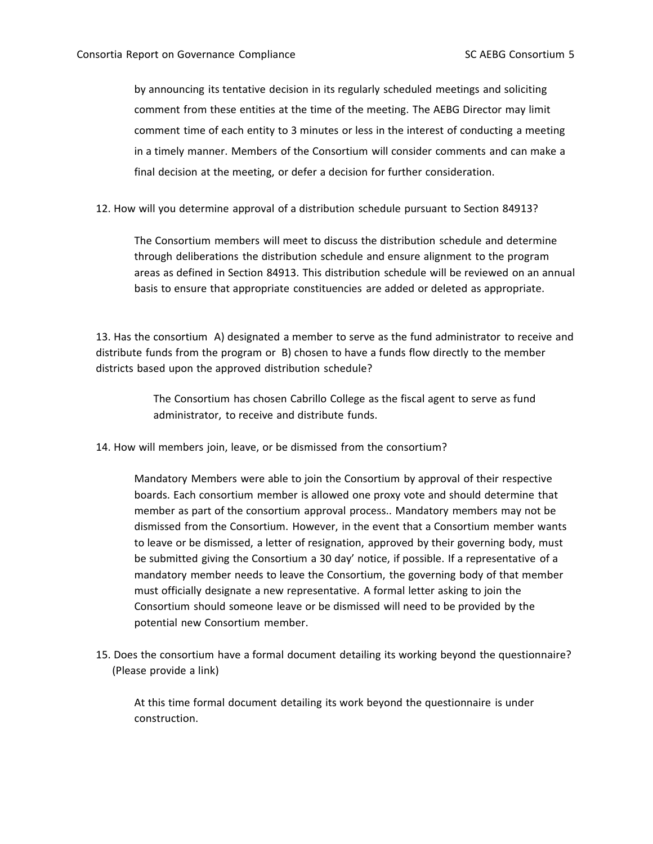by announcing its tentative decision in its regularly scheduled meetings and soliciting comment from these entities at the time of the meeting. The AEBG Director may limit comment time of each entity to 3 minutes or less in the interest of conducting a meeting in a timely manner. Members of the Consortium will consider comments and can make a final decision at the meeting, or defer a decision for further consideration.

12. How will you determine approval of a distribution schedule pursuant to Section 84913?

The Consortium members will meet to discuss the distribution schedule and determine through deliberations the distribution schedule and ensure alignment to the program areas as defined in Section 84913. This distribution schedule will be reviewed on an annual basis to ensure that appropriate constituencies are added or deleted as appropriate.

13. Has the consortium A) designated a member to serve as the fund administrator to receive and distribute funds from the program or B) chosen to have a funds flow directly to the member districts based upon the approved distribution schedule?

> The Consortium has chosen Cabrillo College as the fiscal agent to serve as fund administrator, to receive and distribute funds.

14. How will members join, leave, or be dismissed from the consortium?

Mandatory Members were able to join the Consortium by approval of their respective boards. Each consortium member is allowed one proxy vote and should determine that member as part of the consortium approval process.. Mandatory members may not be dismissed from the Consortium. However, in the event that a Consortium member wants to leave or be dismissed, a letter of resignation, approved by their governing body, must be submitted giving the Consortium a 30 day' notice, if possible. If a representative of a mandatory member needs to leave the Consortium, the governing body of that member must officially designate a new representative. A formal letter asking to join the Consortium should someone leave or be dismissed will need to be provided by the potential new Consortium member.

15. Does the consortium have a formal document detailing its working beyond the questionnaire? (Please provide a link)

At this time formal document detailing its work beyond the questionnaire is under construction.